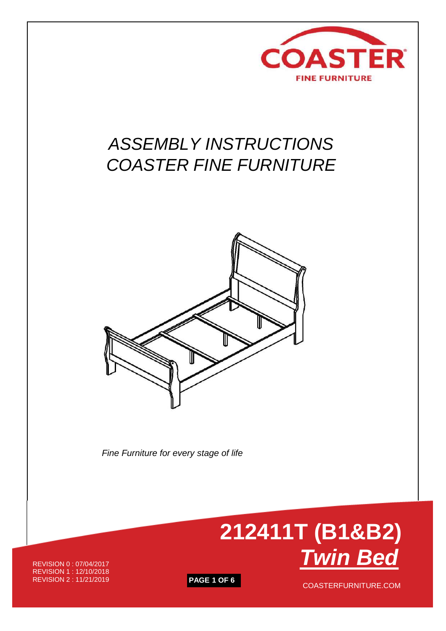

# *ASSEMBLY INSTRUCTIONS COASTER FINE FURNITURE*



 *Fine Furniture for every stage of life*



REVISION 0 : 07/04/2017 REVISION 1 : 12/10/2018<br>REVISION 2 : 11/21/2019

**PAGE 1 OF 6** COASTERFURNITURE.COM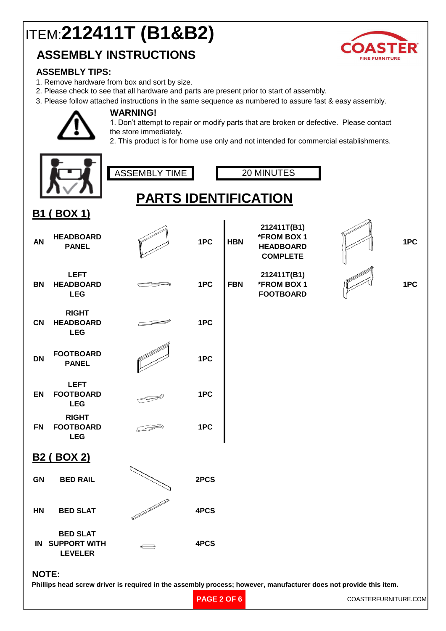# ITEM:**212411T (B1&B2)**

### **ASSEMBLY INSTRUCTIONS**



### **ASSEMBLY TIPS:**

1. Remove hardware from box and sort by size.

**WARNING!**

- 2. Please check to see that all hardware and parts are present prior to start of assembly.
- 3. Please follow attached instructions in the same sequence as numbered to assure fast & easy assembly.

1. Don't attempt to repair or modify parts that are broken or defective. Please contact the store immediately.

2. This product is for home use only and not intended for commercial establishments.

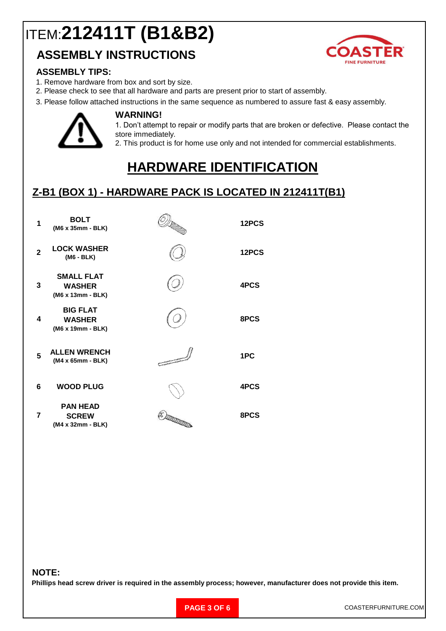# ITEM:**212411T (B1&B2)**

### **ASSEMBLY INSTRUCTIONS**



#### **ASSEMBLY TIPS:**

1. Remove hardware from box and sort by size.

**WARNING!**

- 2. Please check to see that all hardware and parts are present prior to start of assembly.
- 3. Please follow attached instructions in the same sequence as numbered to assure fast & easy assembly.



1. Don't attempt to repair or modify parts that are broken or defective. Please contact the store immediately.

2. This product is for home use only and not intended for commercial establishments.

# **HARDWARE IDENTIFICATION**

### **Z-B1 (BOX 1) - HARDWARE PACK IS LOCATED IN 212411T(B1)**

| 1            | <b>BOLT</b><br>(M6 x 35mm - BLK)                        | DI MARTIN  | 12PCS |
|--------------|---------------------------------------------------------|------------|-------|
| $\mathbf{2}$ | <b>LOCK WASHER</b><br>(M6 - BLK)                        |            | 12PCS |
| 3            | <b>SMALL FLAT</b><br><b>WASHER</b><br>(M6 x 13mm - BLK) |            | 4PCS  |
| 4            | <b>BIG FLAT</b><br><b>WASHER</b><br>(M6 x 19mm - BLK)   |            | 8PCS  |
| 5            | <b>ALLEN WRENCH</b><br>(M4 x 65mm - BLK)                | Z          | 1PC   |
| 6            | <b>WOOD PLUG</b>                                        |            | 4PCS  |
| 7            | <b>PAN HEAD</b><br><b>SCREW</b><br>(M4 x 32mm - BLK)    | (* )DDDDDD | 8PCS  |

#### **NOTE:**

**Phillips head screw driver is required in the assembly process; however, manufacturer does not provide this item.**

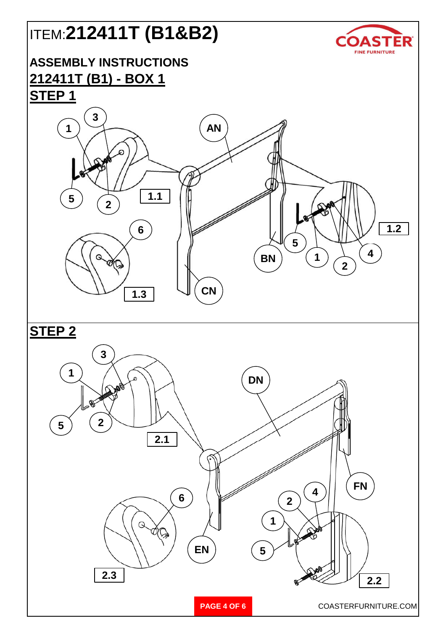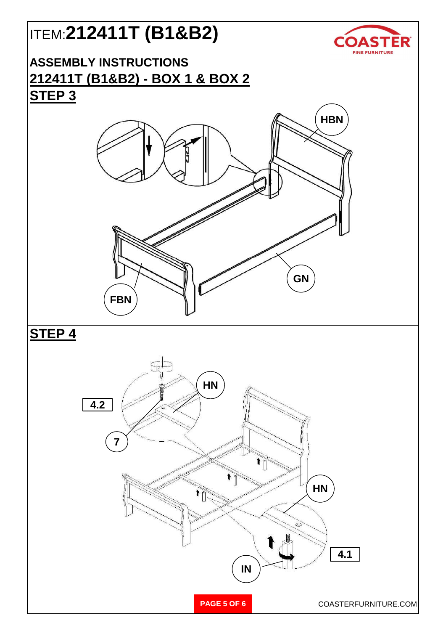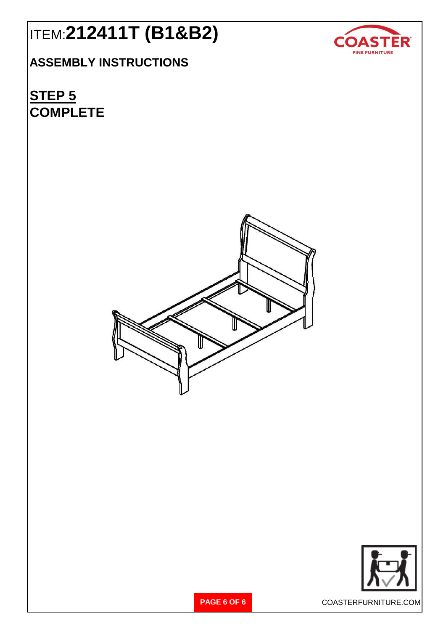# ITEM:**212411T (B1&B2)**

## **ASSEMBLY INSTRUCTIONS**

**COMPLETE STEP 5**





**PAGE 6 OF 6** COASTERFURNITURE.COM